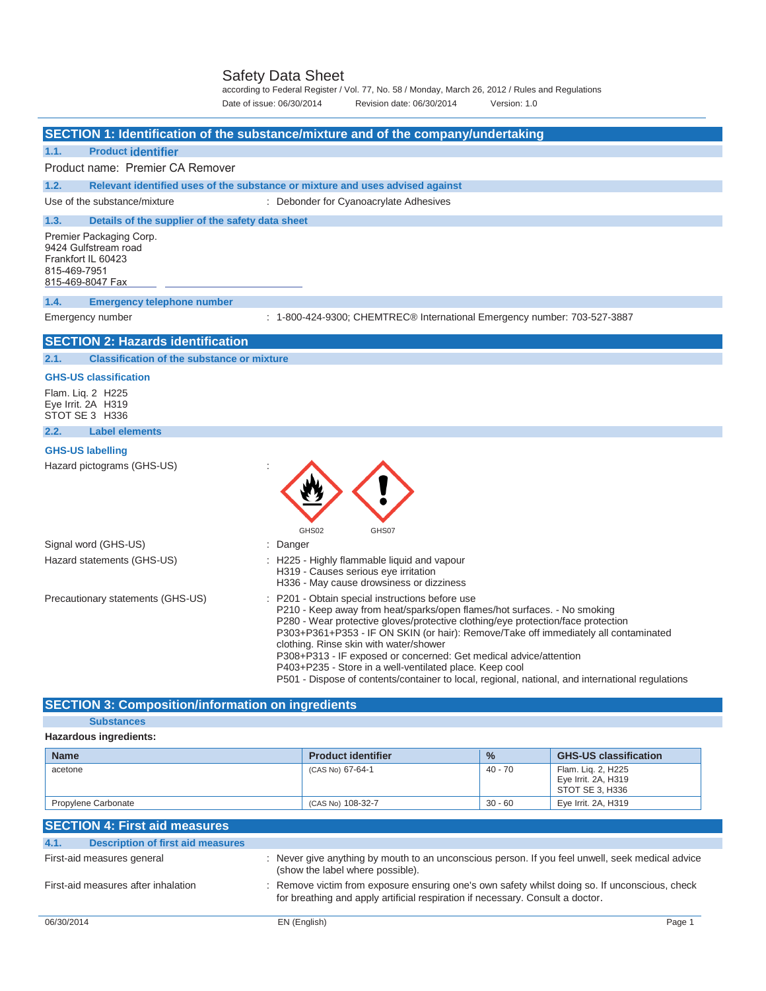Safety Data Sheet<br>according to Federal Register / Vol. 77, No. 58 / Monday, March 26, 2012 / Rules and Regulations Date of issue: 06/30/2014 Revision date: 06/30/2014 Version: 1.0

|                                                                                                           | SECTION 1: Identification of the substance/mixture and of the company/undertaking                                                                                                                                                                                                                                                                                                                                                                                                                                                                                                  |
|-----------------------------------------------------------------------------------------------------------|------------------------------------------------------------------------------------------------------------------------------------------------------------------------------------------------------------------------------------------------------------------------------------------------------------------------------------------------------------------------------------------------------------------------------------------------------------------------------------------------------------------------------------------------------------------------------------|
| 1.1.<br><b>Product identifier</b>                                                                         |                                                                                                                                                                                                                                                                                                                                                                                                                                                                                                                                                                                    |
| Product name: Premier CA Remover                                                                          |                                                                                                                                                                                                                                                                                                                                                                                                                                                                                                                                                                                    |
| 1.2.                                                                                                      | Relevant identified uses of the substance or mixture and uses advised against                                                                                                                                                                                                                                                                                                                                                                                                                                                                                                      |
| Use of the substance/mixture                                                                              | : Debonder for Cyanoacrylate Adhesives                                                                                                                                                                                                                                                                                                                                                                                                                                                                                                                                             |
| 1.3.<br>Details of the supplier of the safety data sheet                                                  |                                                                                                                                                                                                                                                                                                                                                                                                                                                                                                                                                                                    |
| Premier Packaging Corp.<br>9424 Gulfstream road<br>Frankfort IL 60423<br>815-469-7951<br>815-469-8047 Fax |                                                                                                                                                                                                                                                                                                                                                                                                                                                                                                                                                                                    |
| <b>Emergency telephone number</b><br>1.4.                                                                 |                                                                                                                                                                                                                                                                                                                                                                                                                                                                                                                                                                                    |
| Emergency number                                                                                          | : 1-800-424-9300; CHEMTREC® International Emergency number: 703-527-3887                                                                                                                                                                                                                                                                                                                                                                                                                                                                                                           |
| <b>SECTION 2: Hazards identification</b>                                                                  |                                                                                                                                                                                                                                                                                                                                                                                                                                                                                                                                                                                    |
| <b>Classification of the substance or mixture</b><br>2.1.                                                 |                                                                                                                                                                                                                                                                                                                                                                                                                                                                                                                                                                                    |
| <b>GHS-US classification</b>                                                                              |                                                                                                                                                                                                                                                                                                                                                                                                                                                                                                                                                                                    |
| Flam. Lig. 2 H225<br>Eye Irrit. 2A H319<br>STOT SE 3 H336                                                 |                                                                                                                                                                                                                                                                                                                                                                                                                                                                                                                                                                                    |
| 2.2.<br><b>Label elements</b>                                                                             |                                                                                                                                                                                                                                                                                                                                                                                                                                                                                                                                                                                    |
| <b>GHS-US labelling</b>                                                                                   |                                                                                                                                                                                                                                                                                                                                                                                                                                                                                                                                                                                    |
| Hazard pictograms (GHS-US)                                                                                | GHS02<br>GHS07                                                                                                                                                                                                                                                                                                                                                                                                                                                                                                                                                                     |
| Signal word (GHS-US)                                                                                      | Danger                                                                                                                                                                                                                                                                                                                                                                                                                                                                                                                                                                             |
| Hazard statements (GHS-US)                                                                                | : H225 - Highly flammable liquid and vapour<br>H319 - Causes serious eye irritation<br>H336 - May cause drowsiness or dizziness                                                                                                                                                                                                                                                                                                                                                                                                                                                    |
| Precautionary statements (GHS-US)                                                                         | P201 - Obtain special instructions before use<br>P210 - Keep away from heat/sparks/open flames/hot surfaces. - No smoking<br>P280 - Wear protective gloves/protective clothing/eye protection/face protection<br>P303+P361+P353 - IF ON SKIN (or hair): Remove/Take off immediately all contaminated<br>clothing. Rinse skin with water/shower<br>P308+P313 - IF exposed or concerned: Get medical advice/attention<br>P403+P235 - Store in a well-ventilated place. Keep cool<br>P501 - Dispose of contents/container to local, regional, national, and international regulations |
| <b>SECTION 3: Composition/information on ingredients</b>                                                  |                                                                                                                                                                                                                                                                                                                                                                                                                                                                                                                                                                                    |
| <b>Substances</b>                                                                                         |                                                                                                                                                                                                                                                                                                                                                                                                                                                                                                                                                                                    |

## **Hazardous ingredients:**

| <b>Name</b>                                      | <b>Product identifier</b>                                                                                                                                                        | $\frac{9}{6}$ | <b>GHS-US classification</b>                                 |
|--------------------------------------------------|----------------------------------------------------------------------------------------------------------------------------------------------------------------------------------|---------------|--------------------------------------------------------------|
| acetone                                          | (CAS No) 67-64-1                                                                                                                                                                 | $40 - 70$     | Flam. Lig. 2, H225<br>Eye Irrit. 2A, H319<br>STOT SE 3, H336 |
| Propylene Carbonate                              | (CAS No) 108-32-7                                                                                                                                                                | $30 - 60$     | Eye Irrit. 2A, H319                                          |
|                                                  |                                                                                                                                                                                  |               |                                                              |
| <b>SECTION 4: First aid measures</b>             |                                                                                                                                                                                  |               |                                                              |
| <b>Description of first aid measures</b><br>4.1. |                                                                                                                                                                                  |               |                                                              |
| First-aid measures general                       | : Never give anything by mouth to an unconscious person. If you feel unwell, seek medical advice<br>(show the label where possible).                                             |               |                                                              |
| First-aid measures after inhalation              | : Remove victim from exposure ensuring one's own safety whilst doing so. If unconscious, check<br>for breathing and apply artificial respiration if necessary. Consult a doctor. |               |                                                              |
| 06/30/2014                                       | EN (English)                                                                                                                                                                     |               | Page 1                                                       |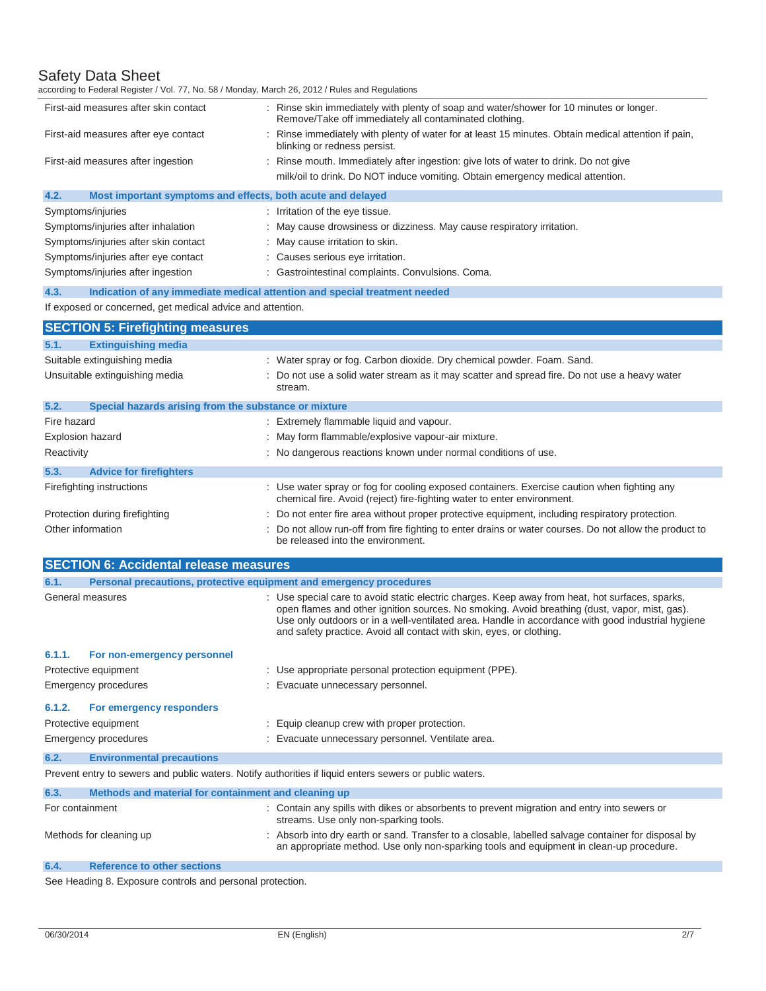# Safety Data Sheet<br>according to Federal Register / V

| according to Federal Register / Vol. 77, No. 58 / Monday, March 26, 2012 / Rules and Regulations        |                                                                                                                                                                                                                                                                                                                                                                               |
|---------------------------------------------------------------------------------------------------------|-------------------------------------------------------------------------------------------------------------------------------------------------------------------------------------------------------------------------------------------------------------------------------------------------------------------------------------------------------------------------------|
| First-aid measures after skin contact                                                                   | : Rinse skin immediately with plenty of soap and water/shower for 10 minutes or longer.<br>Remove/Take off immediately all contaminated clothing.                                                                                                                                                                                                                             |
| First-aid measures after eye contact                                                                    | : Rinse immediately with plenty of water for at least 15 minutes. Obtain medical attention if pain,<br>blinking or redness persist.                                                                                                                                                                                                                                           |
| First-aid measures after ingestion                                                                      | : Rinse mouth. Immediately after ingestion: give lots of water to drink. Do not give                                                                                                                                                                                                                                                                                          |
|                                                                                                         | milk/oil to drink. Do NOT induce vomiting. Obtain emergency medical attention.                                                                                                                                                                                                                                                                                                |
| 4.2.<br>Most important symptoms and effects, both acute and delayed                                     |                                                                                                                                                                                                                                                                                                                                                                               |
| Symptoms/injuries                                                                                       | : Irritation of the eye tissue.                                                                                                                                                                                                                                                                                                                                               |
| Symptoms/injuries after inhalation                                                                      | : May cause drowsiness or dizziness. May cause respiratory irritation.                                                                                                                                                                                                                                                                                                        |
| Symptoms/injuries after skin contact                                                                    | : May cause irritation to skin.                                                                                                                                                                                                                                                                                                                                               |
| Symptoms/injuries after eye contact                                                                     | : Causes serious eye irritation.                                                                                                                                                                                                                                                                                                                                              |
| Symptoms/injuries after ingestion                                                                       | : Gastrointestinal complaints. Convulsions. Coma.                                                                                                                                                                                                                                                                                                                             |
| 4.3.<br>Indication of any immediate medical attention and special treatment needed                      |                                                                                                                                                                                                                                                                                                                                                                               |
| If exposed or concerned, get medical advice and attention.                                              |                                                                                                                                                                                                                                                                                                                                                                               |
|                                                                                                         |                                                                                                                                                                                                                                                                                                                                                                               |
| <b>SECTION 5: Firefighting measures</b>                                                                 |                                                                                                                                                                                                                                                                                                                                                                               |
| <b>Extinguishing media</b><br>5.1.<br>Suitable extinguishing media                                      |                                                                                                                                                                                                                                                                                                                                                                               |
| Unsuitable extinguishing media                                                                          | : Water spray or fog. Carbon dioxide. Dry chemical powder. Foam. Sand.<br>: Do not use a solid water stream as it may scatter and spread fire. Do not use a heavy water                                                                                                                                                                                                       |
|                                                                                                         | stream.                                                                                                                                                                                                                                                                                                                                                                       |
| 5.2.<br>Special hazards arising from the substance or mixture                                           |                                                                                                                                                                                                                                                                                                                                                                               |
| Fire hazard                                                                                             | : Extremely flammable liquid and vapour.                                                                                                                                                                                                                                                                                                                                      |
| <b>Explosion hazard</b>                                                                                 | : May form flammable/explosive vapour-air mixture.                                                                                                                                                                                                                                                                                                                            |
| Reactivity                                                                                              | : No dangerous reactions known under normal conditions of use.                                                                                                                                                                                                                                                                                                                |
| 5.3.<br><b>Advice for firefighters</b>                                                                  |                                                                                                                                                                                                                                                                                                                                                                               |
| Firefighting instructions                                                                               | : Use water spray or fog for cooling exposed containers. Exercise caution when fighting any<br>chemical fire. Avoid (reject) fire-fighting water to enter environment.                                                                                                                                                                                                        |
| Protection during firefighting                                                                          | Do not enter fire area without proper protective equipment, including respiratory protection.                                                                                                                                                                                                                                                                                 |
| Other information                                                                                       | Do not allow run-off from fire fighting to enter drains or water courses. Do not allow the product to<br>be released into the environment.                                                                                                                                                                                                                                    |
| <b>SECTION 6: Accidental release measures</b>                                                           |                                                                                                                                                                                                                                                                                                                                                                               |
| Personal precautions, protective equipment and emergency procedures<br>6.1.                             |                                                                                                                                                                                                                                                                                                                                                                               |
| General measures                                                                                        | : Use special care to avoid static electric charges. Keep away from heat, hot surfaces, sparks,<br>open flames and other ignition sources. No smoking. Avoid breathing (dust, vapor, mist, gas).<br>Use only outdoors or in a well-ventilated area. Handle in accordance with good industrial hygiene<br>and safety practice. Avoid all contact with skin, eyes, or clothing. |
| 6.1.1.<br>For non-emergency personnel                                                                   |                                                                                                                                                                                                                                                                                                                                                                               |
| Protective equipment                                                                                    | : Use appropriate personal protection equipment (PPE).                                                                                                                                                                                                                                                                                                                        |
| <b>Emergency procedures</b>                                                                             | : Evacuate unnecessary personnel.                                                                                                                                                                                                                                                                                                                                             |
|                                                                                                         |                                                                                                                                                                                                                                                                                                                                                                               |
| 6.1.2.<br>For emergency responders                                                                      |                                                                                                                                                                                                                                                                                                                                                                               |
| Protective equipment                                                                                    | : Equip cleanup crew with proper protection.                                                                                                                                                                                                                                                                                                                                  |
| <b>Emergency procedures</b>                                                                             | : Evacuate unnecessary personnel. Ventilate area.                                                                                                                                                                                                                                                                                                                             |
| 6.2.<br><b>Environmental precautions</b>                                                                |                                                                                                                                                                                                                                                                                                                                                                               |
| Prevent entry to sewers and public waters. Notify authorities if liquid enters sewers or public waters. |                                                                                                                                                                                                                                                                                                                                                                               |
| 6.3.<br>Methods and material for containment and cleaning up                                            |                                                                                                                                                                                                                                                                                                                                                                               |
| For containment                                                                                         | : Contain any spills with dikes or absorbents to prevent migration and entry into sewers or<br>streams. Use only non-sparking tools.                                                                                                                                                                                                                                          |
| Methods for cleaning up                                                                                 | : Absorb into dry earth or sand. Transfer to a closable, labelled salvage container for disposal by<br>an appropriate method. Use only non-sparking tools and equipment in clean-up procedure.                                                                                                                                                                                |
| <b>Reference to other sections</b><br>6.4.                                                              |                                                                                                                                                                                                                                                                                                                                                                               |

See Heading 8. Exposure controls and personal protection.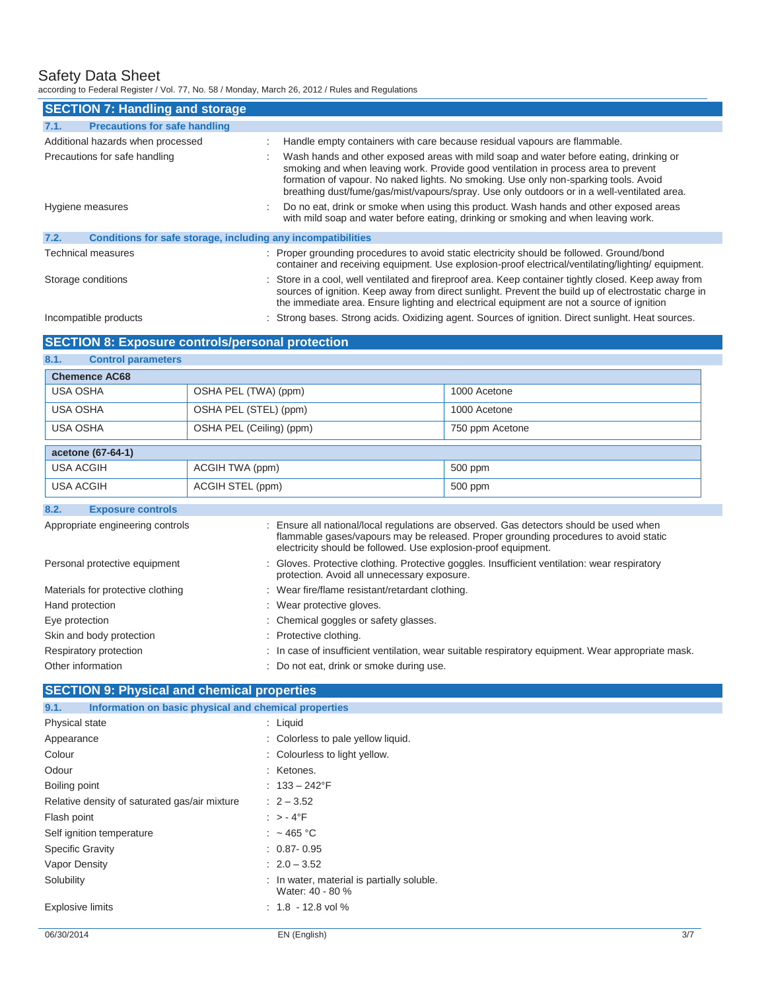according to Federal Register / Vol. 77, No. 58 / Monday, March 26, 2012 / Rules and Regulations

| <b>SECTION 7: Handling and storage</b>                               |  |                                                                                                                                                                                                                                                                                                                                                                     |  |
|----------------------------------------------------------------------|--|---------------------------------------------------------------------------------------------------------------------------------------------------------------------------------------------------------------------------------------------------------------------------------------------------------------------------------------------------------------------|--|
| <b>Precautions for safe handling</b><br>7.1.                         |  |                                                                                                                                                                                                                                                                                                                                                                     |  |
| Additional hazards when processed                                    |  | Handle empty containers with care because residual vapours are flammable.                                                                                                                                                                                                                                                                                           |  |
| Precautions for safe handling                                        |  | Wash hands and other exposed areas with mild soap and water before eating, drinking or<br>smoking and when leaving work. Provide good ventilation in process area to prevent<br>formation of vapour. No naked lights. No smoking. Use only non-sparking tools. Avoid<br>breathing dust/fume/gas/mist/vapours/spray. Use only outdoors or in a well-ventilated area. |  |
| Hygiene measures                                                     |  | Do no eat, drink or smoke when using this product. Wash hands and other exposed areas<br>with mild soap and water before eating, drinking or smoking and when leaving work.                                                                                                                                                                                         |  |
| 7.2.<br>Conditions for safe storage, including any incompatibilities |  |                                                                                                                                                                                                                                                                                                                                                                     |  |
| Technical measures                                                   |  | : Proper grounding procedures to avoid static electricity should be followed. Ground/bond<br>container and receiving equipment. Use explosion-proof electrical/ventilating/lighting/equipment.                                                                                                                                                                      |  |
| Storage conditions                                                   |  | : Store in a cool, well ventilated and fireproof area. Keep container tightly closed. Keep away from<br>sources of ignition. Keep away from direct sunlight. Prevent the build up of electrostatic charge in<br>the immediate area. Ensure lighting and electrical equipment are not a source of ignition                                                           |  |
| Incompatible products                                                |  | : Strong bases. Strong acids. Oxidizing agent. Sources of ignition. Direct sunlight. Heat sources.                                                                                                                                                                                                                                                                  |  |

# **SECTION 8: Exposure controls/personal protection**

| 8.1.<br><b>Control parameters</b> |                                                                |                                                                                                                                                                                 |  |
|-----------------------------------|----------------------------------------------------------------|---------------------------------------------------------------------------------------------------------------------------------------------------------------------------------|--|
| <b>Chemence AC68</b>              |                                                                |                                                                                                                                                                                 |  |
| <b>USA OSHA</b>                   | OSHA PEL (TWA) (ppm)                                           | 1000 Acetone                                                                                                                                                                    |  |
| <b>USA OSHA</b>                   | OSHA PEL (STEL) (ppm)                                          | 1000 Acetone                                                                                                                                                                    |  |
| <b>USA OSHA</b>                   | OSHA PEL (Ceiling) (ppm)                                       | 750 ppm Acetone                                                                                                                                                                 |  |
| acetone (67-64-1)                 |                                                                |                                                                                                                                                                                 |  |
| <b>USA ACGIH</b>                  | ACGIH TWA (ppm)                                                | 500 ppm                                                                                                                                                                         |  |
| <b>USA ACGIH</b>                  | ACGIH STEL (ppm)                                               | 500 ppm                                                                                                                                                                         |  |
| 8.2.<br><b>Exposure controls</b>  |                                                                |                                                                                                                                                                                 |  |
| Appropriate engineering controls  | electricity should be followed. Use explosion-proof equipment. | : Ensure all national/local regulations are observed. Gas detectors should be used when<br>flammable gases/vapours may be released. Proper grounding procedures to avoid static |  |
| Personal protective equipment     | protection. Avoid all unnecessary exposure.                    | : Gloves. Protective clothing. Protective goggles. Insufficient ventilation: wear respiratory                                                                                   |  |
| Materials for protective clothing | : Wear fire/flame resistant/retardant clothing.                |                                                                                                                                                                                 |  |
| Hand protection                   | : Wear protective gloves.                                      |                                                                                                                                                                                 |  |
| Eye protection                    | : Chemical goggles or safety glasses.                          |                                                                                                                                                                                 |  |
| Skin and body protection          | : Protective clothing.                                         |                                                                                                                                                                                 |  |
| Respiratory protection            |                                                                | : In case of insufficient ventilation, wear suitable respiratory equipment. Wear appropriate mask.                                                                              |  |
| Other information                 | : Do not eat, drink or smoke during use.                       |                                                                                                                                                                                 |  |

# **SECTION 9: Physical and chemical properties**

| Information on basic physical and chemical properties<br>9.1. |                                                                |
|---------------------------------------------------------------|----------------------------------------------------------------|
| Physical state                                                | $:$ Liquid                                                     |
| Appearance                                                    | : Colorless to pale yellow liquid.                             |
| Colour                                                        | : Colourless to light yellow.                                  |
| Odour                                                         | : Ketones.                                                     |
| Boiling point                                                 | : $133 - 242$ °F                                               |
| Relative density of saturated gas/air mixture                 | $2 - 3.52$                                                     |
| Flash point                                                   | : $> -4^{\circ}F$                                              |
| Self ignition temperature                                     | : $\sim$ 465 °C                                                |
| <b>Specific Gravity</b>                                       | $: 0.87 - 0.95$                                                |
| Vapor Density                                                 | $: 2.0 - 3.52$                                                 |
| Solubility                                                    | : In water, material is partially soluble.<br>Water: 40 - 80 % |
| <b>Explosive limits</b>                                       | $: 1.8 - 12.8$ vol %                                           |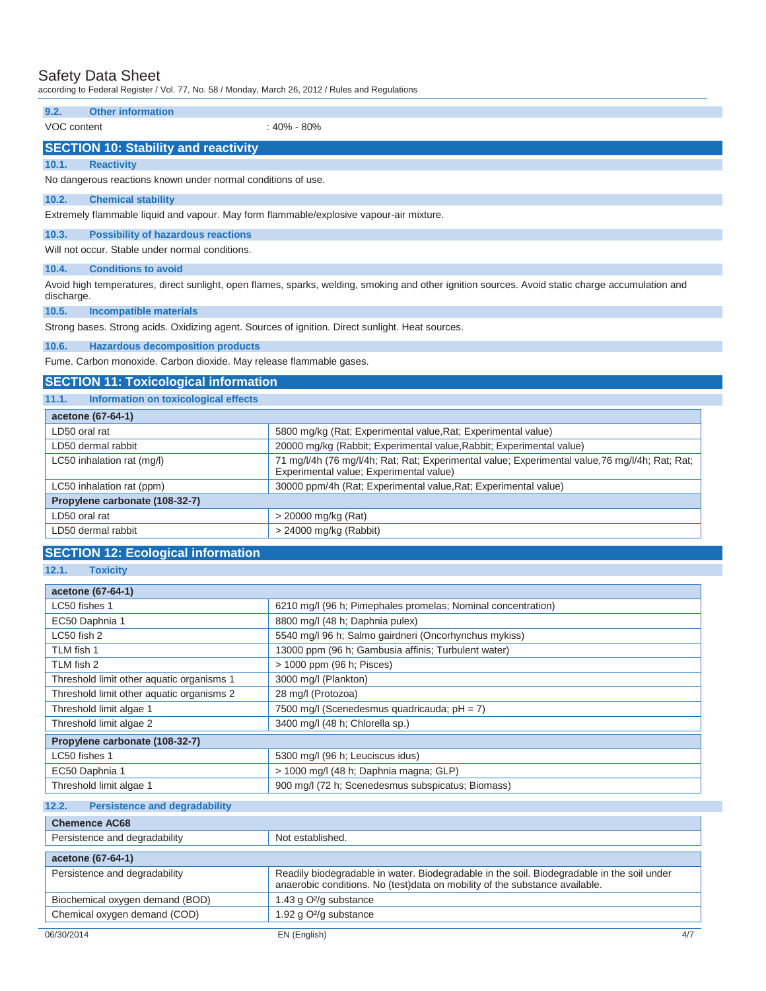according to Federal Register / Vol. 77, No. 58 / Monday, March 26, 2012 / Rules and Regulations

| 9.2.                                                                                                                                                           | <b>Other information</b>                                                                |                                                                                                 |  |
|----------------------------------------------------------------------------------------------------------------------------------------------------------------|-----------------------------------------------------------------------------------------|-------------------------------------------------------------------------------------------------|--|
| VOC content                                                                                                                                                    |                                                                                         | : $40\% - 80\%$                                                                                 |  |
|                                                                                                                                                                |                                                                                         |                                                                                                 |  |
|                                                                                                                                                                | <b>SECTION 10: Stability and reactivity</b>                                             |                                                                                                 |  |
| 10.1.                                                                                                                                                          | <b>Reactivity</b>                                                                       |                                                                                                 |  |
|                                                                                                                                                                | No dangerous reactions known under normal conditions of use.                            |                                                                                                 |  |
| 10.2.                                                                                                                                                          | <b>Chemical stability</b>                                                               |                                                                                                 |  |
|                                                                                                                                                                | Extremely flammable liquid and vapour. May form flammable/explosive vapour-air mixture. |                                                                                                 |  |
| 10.3.                                                                                                                                                          | <b>Possibility of hazardous reactions</b>                                               |                                                                                                 |  |
|                                                                                                                                                                | Will not occur. Stable under normal conditions.                                         |                                                                                                 |  |
| 10.4.                                                                                                                                                          | <b>Conditions to avoid</b>                                                              |                                                                                                 |  |
| Avoid high temperatures, direct sunlight, open flames, sparks, welding, smoking and other ignition sources. Avoid static charge accumulation and<br>discharge. |                                                                                         |                                                                                                 |  |
| 10.5.                                                                                                                                                          | <b>Incompatible materials</b>                                                           |                                                                                                 |  |
| Strong bases. Strong acids. Oxidizing agent. Sources of ignition. Direct sunlight. Heat sources.                                                               |                                                                                         |                                                                                                 |  |
| 10.6.                                                                                                                                                          | <b>Hazardous decomposition products</b>                                                 |                                                                                                 |  |
| Fume. Carbon monoxide. Carbon dioxide. May release flammable gases.                                                                                            |                                                                                         |                                                                                                 |  |
| <b>SECTION 11: Toxicological information</b>                                                                                                                   |                                                                                         |                                                                                                 |  |
| 11.1.                                                                                                                                                          | Information on toxicological effects                                                    |                                                                                                 |  |
| acetone (67-64-1)                                                                                                                                              |                                                                                         |                                                                                                 |  |
|                                                                                                                                                                | LD50 oral rat                                                                           | 5800 mg/kg (Rat; Experimental value, Rat; Experimental value)                                   |  |
|                                                                                                                                                                | LD50 dermal rabbit                                                                      | 20000 mg/kg (Rabbit; Experimental value, Rabbit; Experimental value)                            |  |
|                                                                                                                                                                | LC50 inhalation rat (mg/l)                                                              | 71 mg/l/4h (76 mg/l/4h; Rat; Rat; Experimental value; Experimental value, 76 mg/l/4h; Rat; Rat; |  |

|                                | Experimental value; Experimental value)                         |  |
|--------------------------------|-----------------------------------------------------------------|--|
| LC50 inhalation rat (ppm)      | 30000 ppm/4h (Rat; Experimental value, Rat; Experimental value) |  |
| Propylene carbonate (108-32-7) |                                                                 |  |
| LD50 oral rat                  | > 20000 mg/kg (Rat)                                             |  |
| LD50 dermal rabbit             | > 24000 mg/kg (Rabbit)                                          |  |

# **SECTION 12: Ecological information**

**12.1. Toxicity** 

| acetone (67-64-1)                             |                                                              |  |
|-----------------------------------------------|--------------------------------------------------------------|--|
| LC50 fishes 1                                 | 6210 mg/l (96 h; Pimephales promelas; Nominal concentration) |  |
| EC50 Daphnia 1                                | 8800 mg/l (48 h; Daphnia pulex)                              |  |
| LC50 fish 2                                   | 5540 mg/l 96 h; Salmo gairdneri (Oncorhynchus mykiss)        |  |
| TLM fish 1                                    | 13000 ppm (96 h; Gambusia affinis; Turbulent water)          |  |
| TLM fish 2                                    | > 1000 ppm (96 h; Pisces)                                    |  |
| Threshold limit other aquatic organisms 1     | 3000 mg/l (Plankton)                                         |  |
| Threshold limit other aquatic organisms 2     | 28 mg/l (Protozoa)                                           |  |
| Threshold limit algae 1                       | 7500 mg/l (Scenedesmus quadricauda; $pH = 7$ )               |  |
| Threshold limit algae 2                       | 3400 mg/l (48 h; Chlorella sp.)                              |  |
| Propylene carbonate (108-32-7)                |                                                              |  |
| LC50 fishes 1                                 | 5300 mg/l (96 h; Leuciscus idus)                             |  |
| EC50 Daphnia 1                                | > 1000 mg/l (48 h; Daphnia magna; GLP)                       |  |
| Threshold limit algae 1                       | 900 mg/l (72 h; Scenedesmus subspicatus; Biomass)            |  |
| <b>Persistence and degradability</b><br>12.2. |                                                              |  |
| <b>Chemence AC68</b>                          |                                                              |  |
| Persistence and degradability                 | Not established.                                             |  |

| acetone (67-64-1)               |                                                                                                                                                                            |
|---------------------------------|----------------------------------------------------------------------------------------------------------------------------------------------------------------------------|
| Persistence and degradability   | Readily biodegradable in water. Biodegradable in the soil. Biodegradable in the soil under<br>anaerobic conditions. No (test) data on mobility of the substance available. |
| Biochemical oxygen demand (BOD) | 1.43 g O <sup>2</sup> /g substance                                                                                                                                         |
| Chemical oxygen demand (COD)    | 1.92 g O <sup>2</sup> /g substance                                                                                                                                         |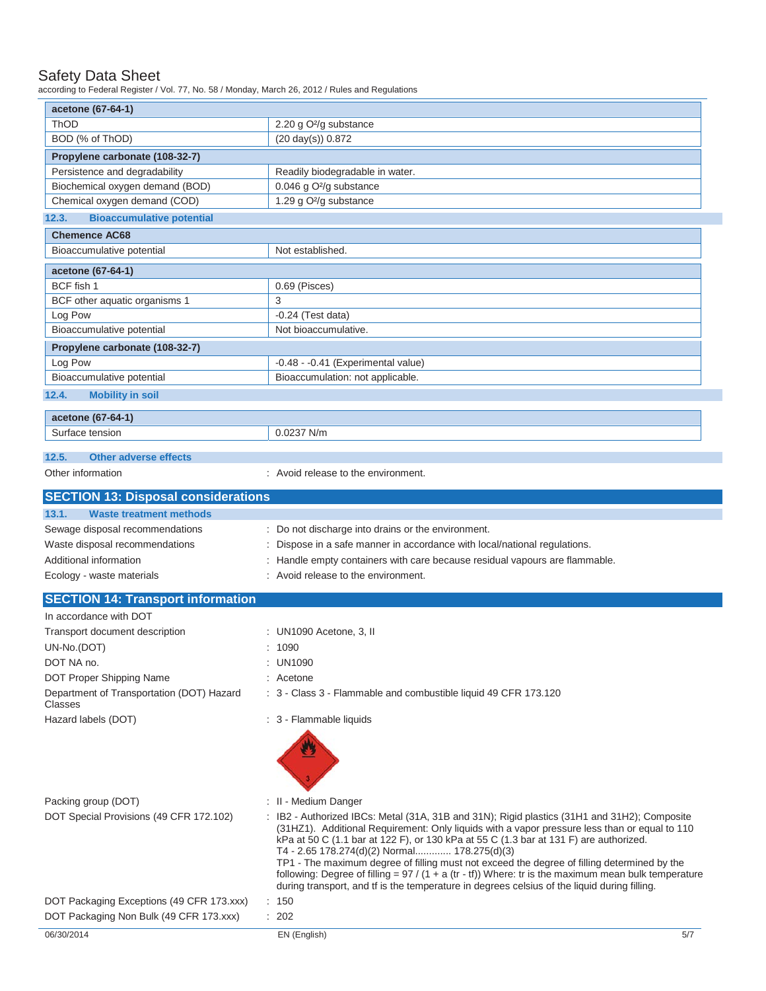according to Federal Register / Vol. 77, No. 58 / Monday, March 26, 2012 / Rules and Regulations

| acetone (67-64-1)                                    |                                                                                                                                                                                                                                                                                                                                                                                                                                                                                                                                                                                                                                                 |
|------------------------------------------------------|-------------------------------------------------------------------------------------------------------------------------------------------------------------------------------------------------------------------------------------------------------------------------------------------------------------------------------------------------------------------------------------------------------------------------------------------------------------------------------------------------------------------------------------------------------------------------------------------------------------------------------------------------|
| ThOD                                                 | 2.20 g O <sup>2</sup> /g substance                                                                                                                                                                                                                                                                                                                                                                                                                                                                                                                                                                                                              |
| BOD (% of ThOD)                                      | $(20 \text{ day(s)})$ 0.872                                                                                                                                                                                                                                                                                                                                                                                                                                                                                                                                                                                                                     |
| Propylene carbonate (108-32-7)                       |                                                                                                                                                                                                                                                                                                                                                                                                                                                                                                                                                                                                                                                 |
| Persistence and degradability                        | Readily biodegradable in water.                                                                                                                                                                                                                                                                                                                                                                                                                                                                                                                                                                                                                 |
| Biochemical oxygen demand (BOD)                      | 0.046 g O <sup>2</sup> /g substance                                                                                                                                                                                                                                                                                                                                                                                                                                                                                                                                                                                                             |
| Chemical oxygen demand (COD)                         | 1.29 g O <sup>2</sup> /g substance                                                                                                                                                                                                                                                                                                                                                                                                                                                                                                                                                                                                              |
| 12.3.<br><b>Bioaccumulative potential</b>            |                                                                                                                                                                                                                                                                                                                                                                                                                                                                                                                                                                                                                                                 |
| <b>Chemence AC68</b>                                 |                                                                                                                                                                                                                                                                                                                                                                                                                                                                                                                                                                                                                                                 |
| Bioaccumulative potential                            | Not established.                                                                                                                                                                                                                                                                                                                                                                                                                                                                                                                                                                                                                                |
| acetone (67-64-1)                                    |                                                                                                                                                                                                                                                                                                                                                                                                                                                                                                                                                                                                                                                 |
| BCF fish 1                                           | 0.69 (Pisces)                                                                                                                                                                                                                                                                                                                                                                                                                                                                                                                                                                                                                                   |
| BCF other aquatic organisms 1                        | 3                                                                                                                                                                                                                                                                                                                                                                                                                                                                                                                                                                                                                                               |
| Log Pow                                              | $-0.24$ (Test data)                                                                                                                                                                                                                                                                                                                                                                                                                                                                                                                                                                                                                             |
| Bioaccumulative potential                            | Not bioaccumulative.                                                                                                                                                                                                                                                                                                                                                                                                                                                                                                                                                                                                                            |
| Propylene carbonate (108-32-7)                       |                                                                                                                                                                                                                                                                                                                                                                                                                                                                                                                                                                                                                                                 |
| Log Pow                                              | -0.48 - -0.41 (Experimental value)                                                                                                                                                                                                                                                                                                                                                                                                                                                                                                                                                                                                              |
| Bioaccumulative potential                            | Bioaccumulation: not applicable.                                                                                                                                                                                                                                                                                                                                                                                                                                                                                                                                                                                                                |
| 12.4.<br><b>Mobility in soil</b>                     |                                                                                                                                                                                                                                                                                                                                                                                                                                                                                                                                                                                                                                                 |
| acetone (67-64-1)                                    |                                                                                                                                                                                                                                                                                                                                                                                                                                                                                                                                                                                                                                                 |
| Surface tension                                      | 0.0237 N/m                                                                                                                                                                                                                                                                                                                                                                                                                                                                                                                                                                                                                                      |
|                                                      |                                                                                                                                                                                                                                                                                                                                                                                                                                                                                                                                                                                                                                                 |
| 12.5.<br><b>Other adverse effects</b>                |                                                                                                                                                                                                                                                                                                                                                                                                                                                                                                                                                                                                                                                 |
| Other information                                    | : Avoid release to the environment.                                                                                                                                                                                                                                                                                                                                                                                                                                                                                                                                                                                                             |
| <b>SECTION 13: Disposal considerations</b>           |                                                                                                                                                                                                                                                                                                                                                                                                                                                                                                                                                                                                                                                 |
| 13.1.<br><b>Waste treatment methods</b>              |                                                                                                                                                                                                                                                                                                                                                                                                                                                                                                                                                                                                                                                 |
| Sewage disposal recommendations                      | : Do not discharge into drains or the environment.                                                                                                                                                                                                                                                                                                                                                                                                                                                                                                                                                                                              |
| Waste disposal recommendations                       | Dispose in a safe manner in accordance with local/national regulations.                                                                                                                                                                                                                                                                                                                                                                                                                                                                                                                                                                         |
| Additional information                               | : Handle empty containers with care because residual vapours are flammable.                                                                                                                                                                                                                                                                                                                                                                                                                                                                                                                                                                     |
| Ecology - waste materials                            | : Avoid release to the environment.                                                                                                                                                                                                                                                                                                                                                                                                                                                                                                                                                                                                             |
|                                                      |                                                                                                                                                                                                                                                                                                                                                                                                                                                                                                                                                                                                                                                 |
| <b>SECTION 14: Transport information</b>             |                                                                                                                                                                                                                                                                                                                                                                                                                                                                                                                                                                                                                                                 |
| In accordance with DOT                               |                                                                                                                                                                                                                                                                                                                                                                                                                                                                                                                                                                                                                                                 |
| Transport document description                       | : UN1090 Acetone, 3, II                                                                                                                                                                                                                                                                                                                                                                                                                                                                                                                                                                                                                         |
| UN-No.(DOT)                                          | : 1090                                                                                                                                                                                                                                                                                                                                                                                                                                                                                                                                                                                                                                          |
| DOT NA no.                                           | : UN1090                                                                                                                                                                                                                                                                                                                                                                                                                                                                                                                                                                                                                                        |
| <b>DOT Proper Shipping Name</b>                      | : Acetone                                                                                                                                                                                                                                                                                                                                                                                                                                                                                                                                                                                                                                       |
| Department of Transportation (DOT) Hazard<br>Classes | : 3 - Class 3 - Flammable and combustible liquid 49 CFR 173.120                                                                                                                                                                                                                                                                                                                                                                                                                                                                                                                                                                                 |
| Hazard labels (DOT)                                  | : 3 - Flammable liquids                                                                                                                                                                                                                                                                                                                                                                                                                                                                                                                                                                                                                         |
|                                                      |                                                                                                                                                                                                                                                                                                                                                                                                                                                                                                                                                                                                                                                 |
| Packing group (DOT)                                  | : II - Medium Danger                                                                                                                                                                                                                                                                                                                                                                                                                                                                                                                                                                                                                            |
| DOT Special Provisions (49 CFR 172.102)              | : IB2 - Authorized IBCs: Metal (31A, 31B and 31N); Rigid plastics (31H1 and 31H2); Composite<br>(31HZ1). Additional Requirement: Only liquids with a vapor pressure less than or equal to 110<br>kPa at 50 C (1.1 bar at 122 F), or 130 kPa at 55 C (1.3 bar at 131 F) are authorized.<br>T4 - 2.65 178.274(d)(2) Normal 178.275(d)(3)<br>TP1 - The maximum degree of filling must not exceed the degree of filling determined by the<br>following: Degree of filling = $97 / (1 + a (tr - tf))$ Where: tr is the maximum mean bulk temperature<br>during transport, and tf is the temperature in degrees celsius of the liquid during filling. |
| DOT Packaging Exceptions (49 CFR 173.xxx)            | : 150                                                                                                                                                                                                                                                                                                                                                                                                                                                                                                                                                                                                                                           |
| DOT Packaging Non Bulk (49 CFR 173.xxx)              | : 202                                                                                                                                                                                                                                                                                                                                                                                                                                                                                                                                                                                                                                           |
| 06/30/2014                                           | 5/7<br>EN (English)                                                                                                                                                                                                                                                                                                                                                                                                                                                                                                                                                                                                                             |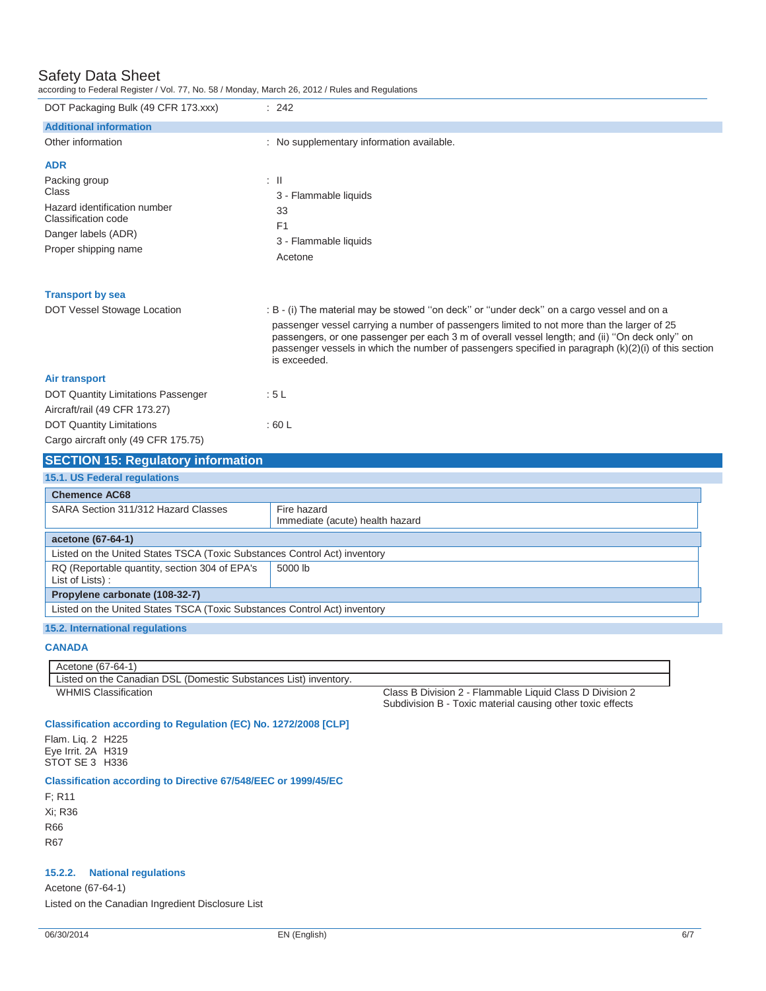according to Federal Register / Vol. 77, No. 58 / Monday, March 26, 2012 / Rules and Regulations

| DOT Packaging Bulk (49 CFR 173.xxx)                                                                                                                                          | : 242                                                                                                                                                                                                                                                                                                                                                                                                               |
|------------------------------------------------------------------------------------------------------------------------------------------------------------------------------|---------------------------------------------------------------------------------------------------------------------------------------------------------------------------------------------------------------------------------------------------------------------------------------------------------------------------------------------------------------------------------------------------------------------|
| <b>Additional information</b>                                                                                                                                                |                                                                                                                                                                                                                                                                                                                                                                                                                     |
| Other information                                                                                                                                                            | : No supplementary information available.                                                                                                                                                                                                                                                                                                                                                                           |
| <b>ADR</b><br>Packing group<br>Class<br>Hazard identification number<br>Classification code<br>Danger labels (ADR)<br>Proper shipping name                                   | $\therefore$ 11<br>3 - Flammable liquids<br>33<br>F <sub>1</sub><br>3 - Flammable liquids<br>Acetone                                                                                                                                                                                                                                                                                                                |
| <b>Transport by sea</b><br>DOT Vessel Stowage Location                                                                                                                       | : B - (i) The material may be stowed "on deck" or "under deck" on a cargo vessel and on a<br>passenger vessel carrying a number of passengers limited to not more than the larger of 25<br>passengers, or one passenger per each 3 m of overall vessel length; and (ii) "On deck only" on<br>passenger vessels in which the number of passengers specified in paragraph $(k)(2)(i)$ of this section<br>is exceeded. |
| <b>Air transport</b><br><b>DOT Quantity Limitations Passenger</b><br>Aircraft/rail (49 CFR 173.27)<br><b>DOT Quantity Limitations</b><br>Cargo aircraft only (49 CFR 175.75) | :5L<br>:60L                                                                                                                                                                                                                                                                                                                                                                                                         |
| <b>SECTION 15: Regulatory information</b>                                                                                                                                    |                                                                                                                                                                                                                                                                                                                                                                                                                     |
| 15.1. US Federal regulations<br>$AL = 1000$                                                                                                                                  |                                                                                                                                                                                                                                                                                                                                                                                                                     |

| <b>Chemence AC68</b>                                                      |                                                |  |  |  |
|---------------------------------------------------------------------------|------------------------------------------------|--|--|--|
| SARA Section 311/312 Hazard Classes                                       | Fire hazard<br>Immediate (acute) health hazard |  |  |  |
| acetone (67-64-1)                                                         |                                                |  |  |  |
| Listed on the United States TSCA (Toxic Substances Control Act) inventory |                                                |  |  |  |
| RQ (Reportable quantity, section 304 of EPA's<br>List of Lists):          | 5000 lb                                        |  |  |  |
| Propylene carbonate (108-32-7)                                            |                                                |  |  |  |
| Listed on the United States TSCA (Toxic Substances Control Act) inventory |                                                |  |  |  |

## **15.2. International regulations**

#### **CANADA**

| Acetone (67-64-1)                                                |                                                            |
|------------------------------------------------------------------|------------------------------------------------------------|
| Listed on the Canadian DSL (Domestic Substances List) inventory. |                                                            |
| <b>WHMIS Classification</b>                                      | Class B Division 2 - Flammable Liquid Class D Division 2   |
|                                                                  | Subdivision B - Toxic material causing other toxic effects |

**Classification according to Regulation (EC) No. 1272/2008 [CLP]** 

Flam. Liq. 2 H225 Eye Irrit. 2A H319 STOT SE 3 H336

## **Classification according to Directive 67/548/EEC or 1999/45/EC**

F; R11 Xi; R36 R66 R67

#### **15.2.2. National regulations**

Acetone (67-64-1)

Listed on the Canadian Ingredient Disclosure List